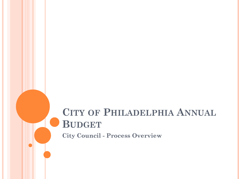# **CITY OF PHILADELPHIA ANNUAL BUDGET**

**City Council - Process Overview**

a l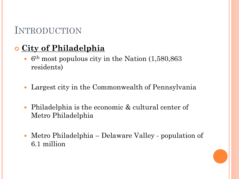## INTRODUCTION

## **City of Philadelphia**

- $\cdot$  6<sup>th</sup> most populous city in the Nation  $(1,580,863)$ residents)
- Largest city in the Commonwealth of Pennsylvania
- Philadelphia is the economic & cultural center of Metro Philadelphia
- Metro Philadelphia Delaware Valley population of 6.1 million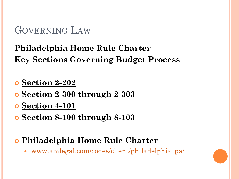## **Philadelphia Home Rule Charter Key Sections Governing Budget Process**

- **Section 2-202**
- **Section 2-300 through 2-303**
- **Section 4-101**
- **Section 8-100 through 8-103**
- **Philadelphia Home Rule Charter**
	- [www.amlegal.com/codes/client/philadelphia\\_pa/](http://www.amlegal.com/codes/client/philadelphia_pa/)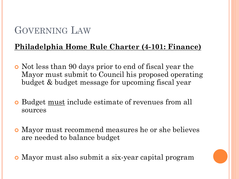#### **Philadelphia Home Rule Charter (4-101: Finance)**

- Not less than 90 days prior to end of fiscal year the Mayor must submit to Council his proposed operating budget & budget message for upcoming fiscal year
- Budget must include estimate of revenues from all sources
- Mayor must recommend measures he or she believes are needed to balance budget
- Mayor must also submit a six-year capital program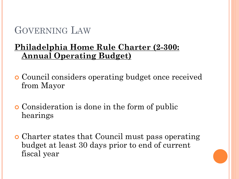### **Philadelphia Home Rule Charter (2-300: Annual Operating Budget)**

- Council considers operating budget once received from Mayor
- Consideration is done in the form of public hearings
- Charter states that Council must pass operating budget at least 30 days prior to end of current fiscal year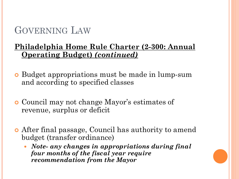#### **Philadelphia Home Rule Charter (2-300: Annual Operating Budget)** *(continued)*

- Budget appropriations must be made in lump-sum and according to specified classes
- Council may not change Mayor's estimates of revenue, surplus or deficit
- After final passage, Council has authority to amend budget (transfer ordinance)
	- *Note- any changes in appropriations during final four months of the fiscal year require recommendation from the Mayor*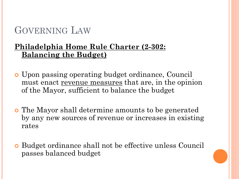#### **Philadelphia Home Rule Charter (2-302: Balancing the Budget)**

- Upon passing operating budget ordinance, Council must enact revenue measures that are, in the opinion of the Mayor, sufficient to balance the budget
- The Mayor shall determine amounts to be generated by any new sources of revenue or increases in existing rates
- Budget ordinance shall not be effective unless Council passes balanced budget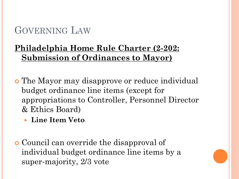## **Philadelphia Home Rule Charter (2-202: Submission of Ordinances to Mayor)**

- The Mayor may disapprove or reduce individual budget ordinance line items (except for appropriations to Controller, Personnel Director & Ethics Board)
	- **Line Item Veto**
- Council can override the disapproval of individual budget ordinance line items by a super-majority, 2/3 vote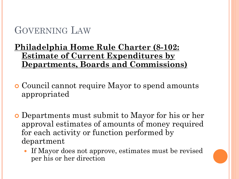#### **Philadelphia Home Rule Charter (8-102: Estimate of Current Expenditures by Departments, Boards and Commissions)**

- Council cannot require Mayor to spend amounts appropriated
- Departments must submit to Mayor for his or her approval estimates of amounts of money required for each activity or function performed by department
	- If Mayor does not approve, estimates must be revised per his or her direction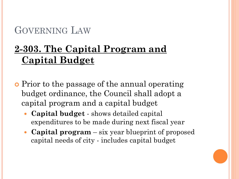# **2-303. The Capital Program and Capital Budget**

- **P**rior to the passage of the annual operating budget ordinance, the Council shall adopt a capital program and a capital budget
	- **Capital budget**  shows detailed capital expenditures to be made during next fiscal year
	- **Capital program**  six year blueprint of proposed capital needs of city - includes capital budget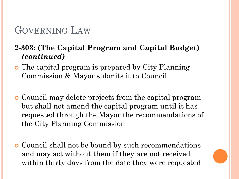#### **2-303: (The Capital Program and Capital Budget)**  *(continued)*

- The capital program is prepared by City Planning Commission & Mayor submits it to Council
- Council may delete projects from the capital program but shall not amend the capital program until it has requested through the Mayor the recommendations of the City Planning Commission
- **o** Council shall not be bound by such recommendations and may act without them if they are not received within thirty days from the date they were requested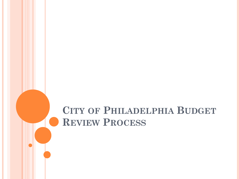# **CITY OF PHILADELPHIA BUDGET REVIEW PROCESS**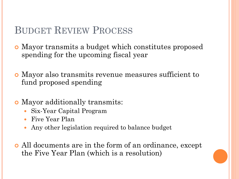## BUDGET REVIEW PROCESS

- Mayor transmits a budget which constitutes proposed spending for the upcoming fiscal year
- Mayor also transmits revenue measures sufficient to fund proposed spending
- Mayor additionally transmits:
	- Six-Year Capital Program
	- Five Year Plan
	- Any other legislation required to balance budget
- All documents are in the form of an ordinance, except the Five Year Plan (which is a resolution)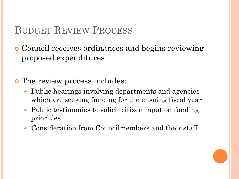## BUDGET REVIEW PROCESS

 Council receives ordinances and begins reviewing proposed expenditures

The review process includes:

- Public hearings involving departments and agencies which are seeking funding for the ensuing fiscal year
- Public testimonies to solicit citizen input on funding priorities
- Consideration from Councilmembers and their staff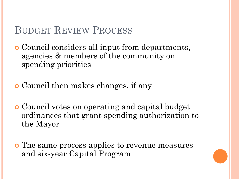## BUDGET REVIEW PROCESS

 Council considers all input from departments, agencies & members of the community on spending priorities

Council then makes changes, if any

 Council votes on operating and capital budget ordinances that grant spending authorization to the Mayor

 The same process applies to revenue measures and six-year Capital Program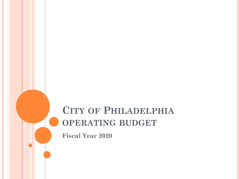# **CITY OF PHILADELPHIA OPERATING BUDGET**

**Fiscal Year 2020**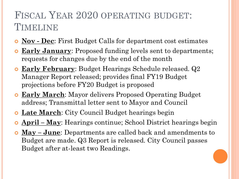# FISCAL YEAR 2020 OPERATING BUDGET: TIMELINE

- **Nov Dec**: First Budget Calls for department cost estimates
- **Early January:** Proposed funding levels sent to departments; requests for changes due by the end of the month
- **Early February**: Budget Hearings Schedule released. Q2 Manager Report released; provides final FY19 Budget projections before FY20 Budget is proposed
- **Early March**: Mayor delivers Proposed Operating Budget address; Transmittal letter sent to Mayor and Council
- **Late March**: City Council Budget hearings begin
- **April – May**: Hearings continue; School District hearings begin
- **May – June**: Departments are called back and amendments to Budget are made. Q3 Report is released. City Council passes Budget after at-least two Readings.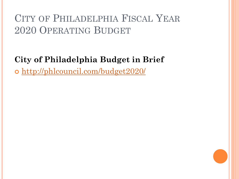### **City of Philadelphia Budget in Brief**

o <http://phlcouncil.com/budget2020/>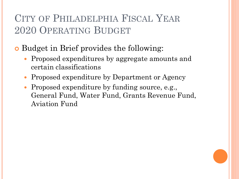**o** Budget in Brief provides the following:

- Proposed expenditures by aggregate amounts and certain classifications
- Proposed expenditure by Department or Agency
- Proposed expenditure by funding source, e.g., General Fund, Water Fund, Grants Revenue Fund, Aviation Fund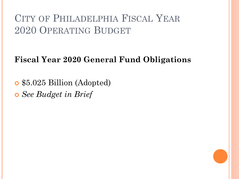## **Fiscal Year 2020 General Fund Obligations**

 \$5.025 Billion (Adopted) *See Budget in Brief*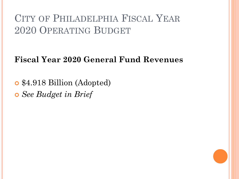## **Fiscal Year 2020 General Fund Revenues**

 \$4.918 Billion (Adopted) *See Budget in Brief*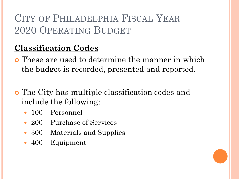## **Classification Codes**

- These are used to determine the manner in which the budget is recorded, presented and reported.
- The City has multiple classification codes and include the following:
	- 100 Personnel
	- 200 Purchase of Services
	- 300 Materials and Supplies
	- $\cdot$  400 Equipment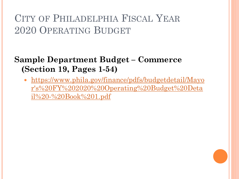### **Sample Department Budget – Commerce (Section 19, Pages 1-54)**

• https://www.phila.gov/finance/pdfs/budgetdetail/Mayo [r's%20FY%202020%20Operating%20Budget%20Deta](https://www.phila.gov/finance/pdfs/budgetdetail/Mayor) il%20-%20Book%201.pdf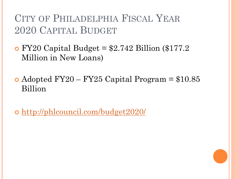## CITY OF PHILADELPHIA FISCAL YEAR 2020 CAPITAL BUDGET

 $\bullet$  FY20 Capital Budget = \$2.742 Billion (\$177.2) Million in New Loans)

• Adopted FY20 – FY25 Capital Program  $= $10.85$ Billion

<http://phlcouncil.com/budget2020/>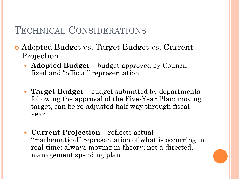## TECHNICAL CONSIDERATIONS

- Adopted Budget vs. Target Budget vs. Current Projection
	- **Adopted Budget**  budget approved by Council; fixed and "official" representation
	- **Target Budget**  budget submitted by departments following the approval of the Five-Year Plan; moving target, can be re-adjusted half way through fiscal year
	- **Current Projection**  reflects actual "mathematical" representation of what is occurring in real time; always moving in theory; not a directed, management spending plan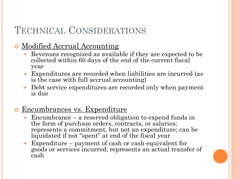## TECHNICAL CONSIDERATIONS

### **o** Modified Accrual Accounting

- Revenues recognized as available if they are expected to be collected within 60 days of the end of the current fiscal year
- Expenditures are recorded when liabilities are incurred (as is the case with full accrual accounting)
- Debt service expenditures are recorded only when payment is due

### **o** Encumbrances vs. Expenditure

- Encumbrance a reserved obligation to expend funds in the form of purchase orders, contracts, or salaries; represents a commitment, but not an expenditure; can be liquidated if not "spent" at end of the fiscal year
- Expenditure payment of cash or cash-equivalent for goods or services incurred; represents an actual transfer of cash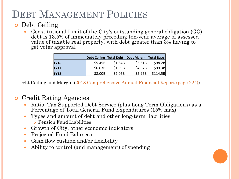# DEBT MANAGEMENT POLICIES

#### **o** Debt Ceiling

 Constitutional Limit of the City's outstanding general obligation (GO) debt is 13.5% of immediately preceding ten-year average of assessed value of taxable real property, with debt greater than 3% having to get voter approval

|             |         |         | Debt Ceiling Total Debt Debt Margin Total Base |          |
|-------------|---------|---------|------------------------------------------------|----------|
| <b>FY16</b> | \$5.45B | \$1.84B | \$3.61B                                        | \$98.2B  |
| <b>FY17</b> | \$6.63B | \$1.95B | \$4.67B                                        | \$99.3B  |
| <b>FY18</b> | \$8.00B | \$2.05B | \$5.95B                                        | \$114.5B |

Debt Ceiling and Margin [\(2018 Comprehensive Annual Financial Report \(page 224\)\)](https://www.phila.gov/finance/pdfs/2018 Comprehensive Annual Financial Report (CAFR) with GAAS Opinion.pdf)

#### **o** Credit Rating Agencies

- Ratio: Tax Supported Debt Service (plus Long Term Obligations) as a Percentage of Total General Fund Expenditures (15% max)
- Types and amount of debt and other long-term liabilities
	- Pension Fund Liabilities
- Growth of City, other economic indicators
- Projected Fund Balances
- Cash flow cushion and/or flexibility
- Ability to control (and management) of spending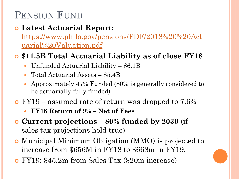## PENSION FUND

## **Latest Actuarial Report:**

[https://www.phila.gov/pensions/PDF/2018%20%20Act](https://www.phila.gov/pensions/PDF/2018  Actuarial Valuation.pdf) uarial%20Valuation.pdf

### **\$11.5B Total Actuarial Liability as of close FY18**

- Unfunded Actuarial Liability = \$6.1B
- Total Actuarial Assets = \$5.4B
- Approximately 47% Funded (80% is generally considered to be actuarially fully funded)
- FY19 assumed rate of return was dropped to 7.6%
	- **FY18 Return of 9% – Net of Fees**
- **Current projections – 80% funded by 2030** (if sales tax projections hold true)
- Municipal Minimum Obligation (MMO) is projected to increase from \$656M in FY18 to \$668m in FY19.
- FY19: \$45.2m from Sales Tax (\$20m increase)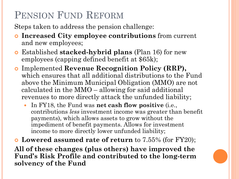# PENSION FUND REFORM

Steps taken to address the pension challenge:

- **Increased City employee contributions** from current and new employees;
- Established **stacked-hybrid plans** (Plan 16) for new employees (capping defined benefit at \$65k);
- Implemented **Revenue Recognition Policy (RRP),**  which ensures that all additional distributions to the Fund above the Minimum Municipal Obligation (MMO) are not calculated in the MMO – allowing for said additional revenues to more directly attack the unfunded liability;
	- In FY18, the Fund was **net cash flow positive** (i.e., contributions *less* investment income was greater than benefit payments), which allows assets to grow without the impediment of benefit payments. Allows for investment income to more directly lower unfunded liability;

 **Lowered assumed rate of return** to 7.55% (for FY20); **All of these changes (plus others) have improved the Fund's Risk Profile and contributed to the long-term solvency of the Fund**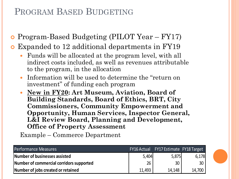## PROGRAM BASED BUDGETING

Program-Based Budgeting (PILOT Year – FY17)

Expanded to 12 additional departments in FY19

- Funds will be allocated at the program level, with all indirect costs included, as well as revenues attributable to the program, in the allocation
- Information will be used to determine the "return on investment" of funding each program
- **New in FY20: Art Museum, Aviation, Board of Building Standards, Board of Ethics, BRT, City Commissioners, Community Empowerment and Opportunity, Human Services, Inspector General, L&I Review Board, Planning and Development, Office of Property Assessment**

Example – Commerce Department

| Performance Measures                     |        | FY16 Actual FY17 Estimate FY18 Target |                 |
|------------------------------------------|--------|---------------------------------------|-----------------|
| Number of businesses assisted            | 5,404  | 5,875                                 | 6,178           |
| Number of commercial corridors supported | 26     | 30                                    | 30 <sup>°</sup> |
| Number of jobs created or retained       | 11,493 | 14.148                                | 14,700          |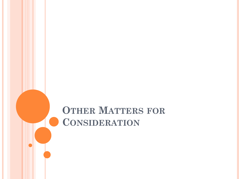# **OTHER MATTERS FOR CONSIDERATION**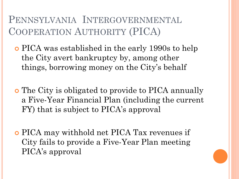PENNSYLVANIA INTERGOVERNMENTAL COOPERATION AUTHORITY (PICA)

- PICA was established in the early 1990s to help the City avert bankruptcy by, among other things, borrowing money on the City's behalf
- The City is obligated to provide to PICA annually a Five-Year Financial Plan (including the current FY) that is subject to PICA's approval
- PICA may withhold net PICA Tax revenues if City fails to provide a Five-Year Plan meeting PICA's approval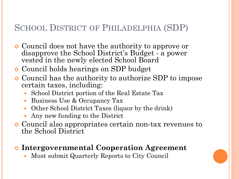## SCHOOL DISTRICT OF PHILADELPHIA (SDP)

- Council does not have the authority to approve or disapprove the School District's Budget - a power vested in the newly elected School Board
- **o** Council holds hearings on SDP budget
- Council has the authority to authorize SDP to impose certain taxes, including:
	- School District portion of the Real Estate Tax
	- Business Use & Occupancy Tax
	- Other School District Taxes (liquor by the drink)
	- Any new funding to the District
- Council also appropriates certain non-tax revenues to the School District

#### **Intergovernmental Cooperation Agreement**

Must submit Quarterly Reports to City Council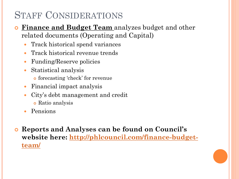## STAFF CONSIDERATIONS

- **Finance and Budget Team** analyzes budget and other related documents (Operating and Capital)
	- Track historical spend variances
	- Track historical revenue trends
	- Funding/Reserve policies
	- Statistical analysis
		- forecasting 'check' for revenue
	- Financial impact analysis
	- City's debt management and credit
		- Ratio analysis
	- Pensions
- **Reports and Analyses can be found on Council's [website here: http://phlcouncil.com/finance-budget](http://phlcouncil.com/finance-budget-team/)team/**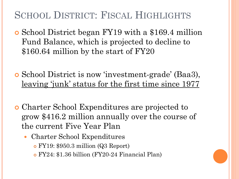## SCHOOL DISTRICT: FISCAL HIGHLIGHTS

- School District began FY19 with a \$169.4 million Fund Balance, which is projected to decline to \$160.64 million by the start of FY20
- School District is now 'investment-grade' (Baa3), leaving 'junk' status for the first time since 1977
- Charter School Expenditures are projected to grow \$416.2 million annually over the course of the current Five Year Plan
	- Charter School Expenditures
		- FY19: \$950.3 million (Q3 Report)
		- FY24: \$1.36 billion (FY20-24 Financial Plan)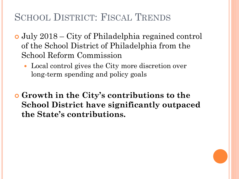# SCHOOL DISTRICT: FISCAL TRENDS

- July 2018 City of Philadelphia regained control of the School District of Philadelphia from the School Reform Commission
	- Local control gives the City more discretion over long-term spending and policy goals
- **Growth in the City's contributions to the School District have significantly outpaced the State's contributions.**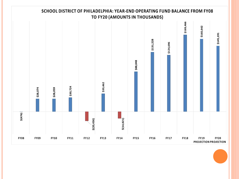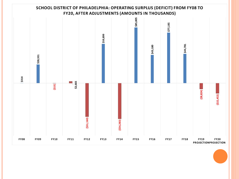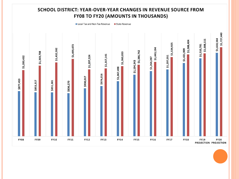#### **SCHOOL DISTRICT: YEAR-OVER-YEAR CHANGES IN REVENUE SOURCE FROM FY08 TO FY20 (AMOUNTS IN THOUSANDS)**

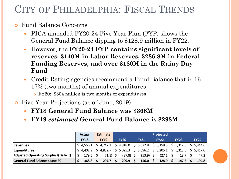# CITY OF PHILADELPHIA: FISCAL TRENDS

#### Fund Balance Concerns

- PICA amended FY20-24 Five Year Plan (FYP) shows the General Fund Balance dipping to \$128.9 million in FY22.
- However, the **FY20-24 FYP contains significant levels of reserves: \$140M in Labor Reserves, \$286.8M in Federal Funding Reserves, and over \$180M in the Rainy Day Fund**
- Credit Rating agencies recommend a Fund Balance that is 16- 17% (two months) of annual expenditures
	- FY20: \$804 million is two months of expenditures
- Five Year Projections (as of June, 2019)
	- **FY18 General Fund Balance was \$368M**
	- **FY19** *estimated* **General Fund Balance is \$298M**

|                                             | <b>Actual</b>                                                                                                                       | <b>Estimate</b> | <b>Projected</b> |             |  |             |  |                                                                                                                                           |  |             |  |             |
|---------------------------------------------|-------------------------------------------------------------------------------------------------------------------------------------|-----------------|------------------|-------------|--|-------------|--|-------------------------------------------------------------------------------------------------------------------------------------------|--|-------------|--|-------------|
|                                             | <b>FY18</b>                                                                                                                         | <b>FY19</b>     |                  | <b>FY20</b> |  | <b>FY21</b> |  | <b>FY22</b>                                                                                                                               |  | <b>FY23</b> |  | <b>FY24</b> |
| <b>Revenues</b>                             | $\frac{1}{2}$ 4,556.1 $\frac{1}{2}$ 4,742.1 $\frac{1}{2}$ 4,918.0 $\frac{1}{2}$ 5,022.8 $\frac{1}{2}$ 5,158.5 $\frac{1}{2}$ 5,312.8 |                 |                  |             |  |             |  |                                                                                                                                           |  |             |  | \$5,444.6   |
| <b>Expenditures</b>                         | \$4,402.9                                                                                                                           |                 |                  |             |  |             |  | $\binom{1}{2}$ 4,832.7 $\binom{1}{5}$ 5,025.3 $\binom{5}{5}$ 5,096.2 $\binom{5}{5}$ 5,205.1 $\binom{5}{5}$ 5,313.5 $\binom{5}{5}$ 5,417.0 |  |             |  |             |
| <b>Adjusted Operating Surplus/(Deficit)</b> | 179.5                                                                                                                               | $(71.1)$ \$     |                  | $(87.8)$ \$ |  | (53.9)      |  | (27.1)                                                                                                                                    |  | 18.7        |  | 47.2        |
| <b>General Fund Balance: June 30</b>        | 368.8                                                                                                                               | 297.7           |                  | 209.9       |  | 156.0       |  | 128.9                                                                                                                                     |  | 147.6       |  | 194.8       |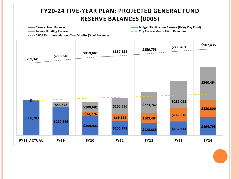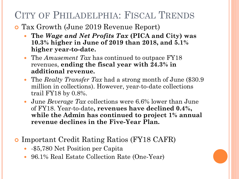## CITY OF PHILADELPHIA: FISCAL TRENDS

- Tax Growth (June 2019 Revenue Report)
	- **The** *Wage and Net Profits Tax* **(PICA and City) was 10.3% higher in June of 2019 than 2018, and 5.1% higher year-to-date.**
	- The *Amusement Tax* has continued to outpace FY18 revenues, **ending the fiscal year with 24.3% in additional revenue.**
	- The *Realty Transfer Tax* had a strong month of June (\$30.9 million in collections). However, year-to-date collections trail FY18 by 0.8%.
	- June *Beverage Tax* collections were 6.6% lower than June of FY18. Year-to-date**, revenues have declined 0.4%, while the Admin has continued to project 1% annual revenue declines in the Five-Year Plan.**
- Important Credit Rating Ratios (FY18 CAFR)
	- - \$5,780 Net Position per Capita
	- 96.1% Real Estate Collection Rate (One-Year)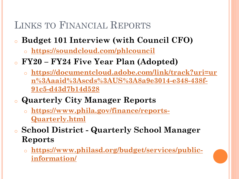# LINKS TO FINANCIAL REPORTS

## <sup>o</sup> **Budget 101 Interview (with Council CFO)**

- o **<https://soundcloud.com/phlcouncil>**
- <sup>o</sup> **FY20 – FY24 Five Year Plan (Adopted)**
	- o **https://documentcloud.adobe.com/link/track?uri=ur [n%3Aaaid%3Ascds%3AUS%3A8a9e3014-e348-438f-](https://documentcloud.adobe.com/link/track?uri=urn:aaid:scds:US:8a9e3014-e348-438f-91c5-d43d7b14d528)91c5-d43d7b14d528**
- o **Quarterly City Manager Reports**
	- o **[https://www.phila.gov/finance/reports-](https://www.phila.gov/finance/reports-Quarterly.html)Quarterly.html**
- o **School District Quarterly School Manager Reports**
	- o **[https://www.philasd.org/budget/services/public](https://www.philasd.org/budget/services/public-information/)information/**